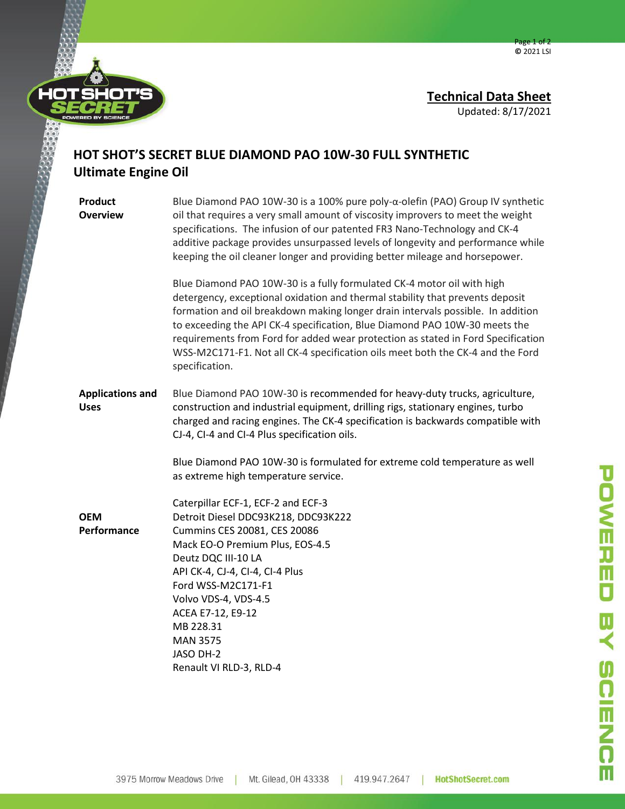



## **HOT SHOT'S SECRET BLUE DIAMOND PAO 10W-30 FULL SYNTHETIC Ultimate Engine Oil**

**Product Overview** Blue Diamond PAO 10W-30 is a 100% pure poly-α-olefin (PAO) Group IV synthetic oil that requires a very small amount of viscosity improvers to meet the weight specifications. The infusion of our patented FR3 Nano-Technology and CK-4 additive package provides unsurpassed levels of longevity and performance while keeping the oil cleaner longer and providing better mileage and horsepower. Blue Diamond PAO 10W-30 is a fully formulated CK-4 motor oil with high detergency, exceptional oxidation and thermal stability that prevents deposit formation and oil breakdown making longer drain intervals possible. In addition to exceeding the API CK-4 specification, Blue Diamond PAO 10W-30 meets the requirements from Ford for added wear protection as stated in Ford Specification WSS-M2C171-F1. Not all CK-4 specification oils meet both the CK-4 and the Ford specification. **Applications and Uses OEM Performance** Blue Diamond PAO 10W-30 is recommended for heavy-duty trucks, agriculture, construction and industrial equipment, drilling rigs, stationary engines, turbo charged and racing engines. The CK-4 specification is backwards compatible with CJ-4, CI-4 and CI-4 Plus specification oils. Blue Diamond PAO 10W-30 is formulated for extreme cold temperature as well as extreme high temperature service. Caterpillar ECF-1, ECF-2 and ECF-3 Detroit Diesel DDC93K218, DDC93K222 Cummins CES 20081, CES 20086 Mack EO-O Premium Plus, EOS-4.5 Deutz DQC III-10 LA API CK-4, CJ-4, CI-4, CI-4 Plus Ford WSS-M2C171-F1 Volvo VDS-4, VDS-4.5 ACEA E7-12, E9-12 MB 228.31 MAN 3575 JASO DH-2

Renault VI RLD-3, RLD-4